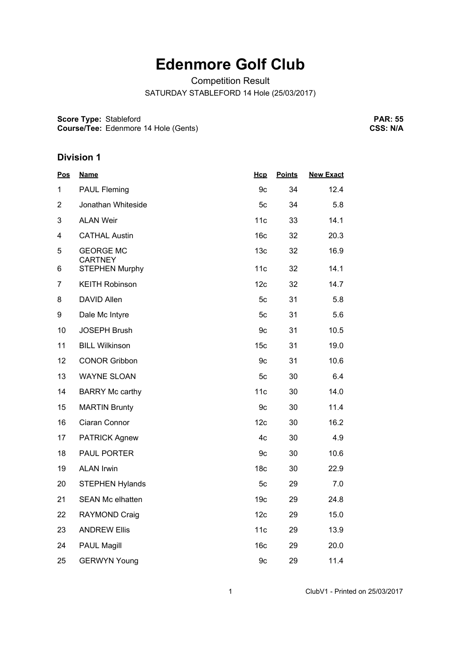# **Edenmore Golf Club**

Competition Result

SATURDAY STABLEFORD 14 Hole (25/03/2017)

**Score Type:** Stableford

**Course/Tee:** Edenmore 14 Hole (Gents)

**PAR: 55 CSS: N/A**

| <u>Pos</u>     | <b>Name</b>                        | Hcp             | <b>Points</b> | <b>New Exact</b> |
|----------------|------------------------------------|-----------------|---------------|------------------|
| 1              | <b>PAUL Fleming</b>                | 9c              | 34            | 12.4             |
| $\overline{2}$ | Jonathan Whiteside                 | 5c              | 34            | 5.8              |
| 3              | <b>ALAN Weir</b>                   | 11c             | 33            | 14.1             |
| 4              | <b>CATHAL Austin</b>               | 16 <sub>c</sub> | 32            | 20.3             |
| 5              | <b>GEORGE MC</b><br><b>CARTNEY</b> | 13 <sub>c</sub> | 32            | 16.9             |
| 6              | <b>STEPHEN Murphy</b>              | 11c             | 32            | 14.1             |
| 7              | <b>KEITH Robinson</b>              | 12c             | 32            | 14.7             |
| 8              | DAVID Allen                        | 5c              | 31            | 5.8              |
| 9              | Dale Mc Intyre                     | 5c              | 31            | 5.6              |
| 10             | <b>JOSEPH Brush</b>                | 9c              | 31            | 10.5             |
| 11             | <b>BILL Wilkinson</b>              | 15 <sub>c</sub> | 31            | 19.0             |
| 12             | <b>CONOR Gribbon</b>               | 9c              | 31            | 10.6             |
| 13             | <b>WAYNE SLOAN</b>                 | 5c              | 30            | 6.4              |
| 14             | <b>BARRY Mc carthy</b>             | 11c             | 30            | 14.0             |
| 15             | <b>MARTIN Brunty</b>               | 9c              | 30            | 11.4             |
| 16             | Ciaran Connor                      | 12c             | 30            | 16.2             |
| 17             | <b>PATRICK Agnew</b>               | 4c              | 30            | 4.9              |
| 18             | PAUL PORTER                        | 9c              | 30            | 10.6             |
| 19             | <b>ALAN Irwin</b>                  | 18 <sub>c</sub> | 30            | 22.9             |
| 20             | <b>STEPHEN Hylands</b>             | 5c              | 29            | 7.0              |
| 21             | <b>SEAN Mc elhatten</b>            | 19 <sub>c</sub> | 29            | 24.8             |
| 22             | RAYMOND Craig                      | 12c             | 29            | 15.0             |
| 23             | <b>ANDREW Ellis</b>                | 11c             | 29            | 13.9             |
| 24             | <b>PAUL Magill</b>                 | 16c             | 29            | 20.0             |
| 25             | <b>GERWYN Young</b>                | 9c              | 29            | 11.4             |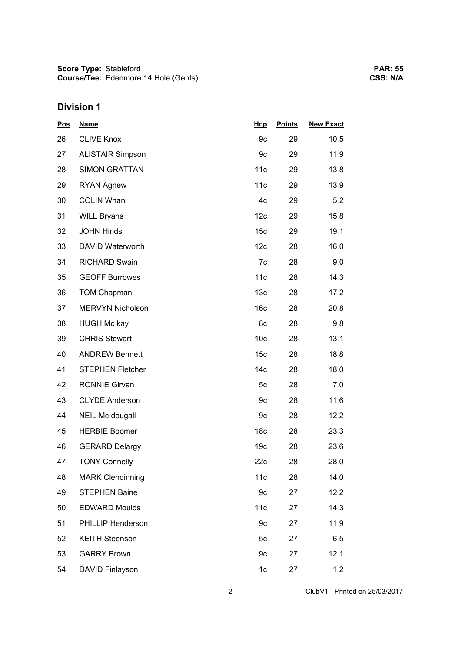| <b>Pos</b> | <b>Name</b>             | Hcp             | <b>Points</b> | <b>New Exact</b> |
|------------|-------------------------|-----------------|---------------|------------------|
| 26         | <b>CLIVE Knox</b>       | 9c              | 29            | 10.5             |
| 27         | <b>ALISTAIR Simpson</b> | 9c              | 29            | 11.9             |
| 28         | <b>SIMON GRATTAN</b>    | 11c             | 29            | 13.8             |
| 29         | <b>RYAN Agnew</b>       | 11c             | 29            | 13.9             |
| 30         | <b>COLIN Whan</b>       | 4c              | 29            | 5.2              |
| 31         | <b>WILL Bryans</b>      | 12c             | 29            | 15.8             |
| 32         | <b>JOHN Hinds</b>       | 15 <sub>c</sub> | 29            | 19.1             |
| 33         | DAVID Waterworth        | 12c             | 28            | 16.0             |
| 34         | <b>RICHARD Swain</b>    | 7c              | 28            | 9.0              |
| 35         | <b>GEOFF Burrowes</b>   | 11c             | 28            | 14.3             |
| 36         | <b>TOM Chapman</b>      | 13 <sub>c</sub> | 28            | 17.2             |
| 37         | <b>MERVYN Nicholson</b> | 16 <sub>c</sub> | 28            | 20.8             |
| 38         | <b>HUGH Mc kay</b>      | 8c              | 28            | 9.8              |
| 39         | <b>CHRIS Stewart</b>    | 10 <sub>c</sub> | 28            | 13.1             |
| 40         | <b>ANDREW Bennett</b>   | 15 <sub>c</sub> | 28            | 18.8             |
| 41         | <b>STEPHEN Fletcher</b> | 14 <sub>c</sub> | 28            | 18.0             |
| 42         | <b>RONNIE Girvan</b>    | 5c              | 28            | 7.0              |
| 43         | <b>CLYDE Anderson</b>   | 9c              | 28            | 11.6             |
| 44         | NEIL Mc dougall         | 9c              | 28            | 12.2             |
| 45         | <b>HERBIE Boomer</b>    | 18 <sub>c</sub> | 28            | 23.3             |
| 46         | <b>GERARD Delargy</b>   | 19 <sub>c</sub> | 28            | 23.6             |
| 47         | <b>TONY Connelly</b>    | 22c             | 28            | 28.0             |
| 48         | <b>MARK Clendinning</b> | 11c             | 28            | 14.0             |
| 49         | <b>STEPHEN Baine</b>    | 9c              | 27            | 12.2             |
| 50         | <b>EDWARD Moulds</b>    | 11c             | 27            | 14.3             |
| 51         | PHILLIP Henderson       | 9c              | 27            | 11.9             |
| 52         | <b>KEITH Steenson</b>   | 5c              | 27            | 6.5              |
| 53         | <b>GARRY Brown</b>      | 9c              | 27            | 12.1             |
| 54         | DAVID Finlayson         | 1c              | 27            | 1.2              |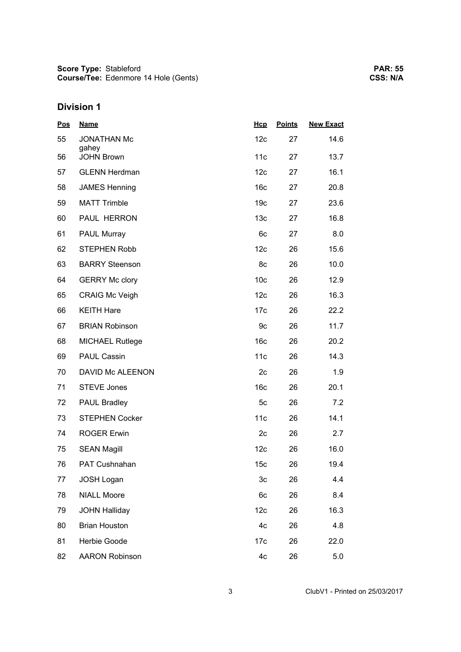| <b>Pos</b> | <b>Name</b>                | Hcp             | <b>Points</b> | <b>New Exact</b> |
|------------|----------------------------|-----------------|---------------|------------------|
| 55         | <b>JONATHAN Mc</b>         | 12c             | 27            | 14.6             |
| 56         | gahey<br><b>JOHN Brown</b> | 11c             | 27            | 13.7             |
| 57         | <b>GLENN Herdman</b>       | 12c             | 27            | 16.1             |
| 58         | <b>JAMES Henning</b>       | 16 <sub>c</sub> | 27            | 20.8             |
| 59         | <b>MATT Trimble</b>        | 19 <sub>c</sub> | 27            | 23.6             |
| 60         | PAUL HERRON                | 13 <sub>c</sub> | 27            | 16.8             |
| 61         | PAUL Murray                | 6c              | 27            | 8.0              |
| 62         | <b>STEPHEN Robb</b>        | 12c             | 26            | 15.6             |
| 63         | <b>BARRY Steenson</b>      | 8c              | 26            | 10.0             |
| 64         | <b>GERRY Mc clory</b>      | 10 <sub>c</sub> | 26            | 12.9             |
| 65         | <b>CRAIG Mc Veigh</b>      | 12c             | 26            | 16.3             |
| 66         | <b>KEITH Hare</b>          | 17c             | 26            | 22.2             |
| 67         | <b>BRIAN Robinson</b>      | 9c              | 26            | 11.7             |
| 68         | <b>MICHAEL Rutlege</b>     | 16 <sub>c</sub> | 26            | 20.2             |
| 69         | <b>PAUL Cassin</b>         | 11c             | 26            | 14.3             |
| 70         | DAVID Mc ALEENON           | 2c              | 26            | 1.9              |
| 71         | <b>STEVE Jones</b>         | 16 <sub>c</sub> | 26            | 20.1             |
| 72         | <b>PAUL Bradley</b>        | 5c              | 26            | 7.2              |
| 73         | <b>STEPHEN Cocker</b>      | 11c             | 26            | 14.1             |
| 74         | <b>ROGER Erwin</b>         | 2c              | 26            | 2.7              |
| 75         | <b>SEAN Magill</b>         | 12c             | 26            | 16.0             |
| 76         | PAT Cushnahan              | 15 <sub>c</sub> | 26            | 19.4             |
| 77         | <b>JOSH Logan</b>          | 3c              | 26            | 4.4              |
| 78         | <b>NIALL Moore</b>         | 6c              | 26            | 8.4              |
| 79         | <b>JOHN Halliday</b>       | 12c             | 26            | 16.3             |
| 80         | <b>Brian Houston</b>       | 4c              | 26            | 4.8              |
| 81         | Herbie Goode               | 17 <sub>c</sub> | 26            | 22.0             |
| 82         | <b>AARON Robinson</b>      | 4c              | 26            | 5.0              |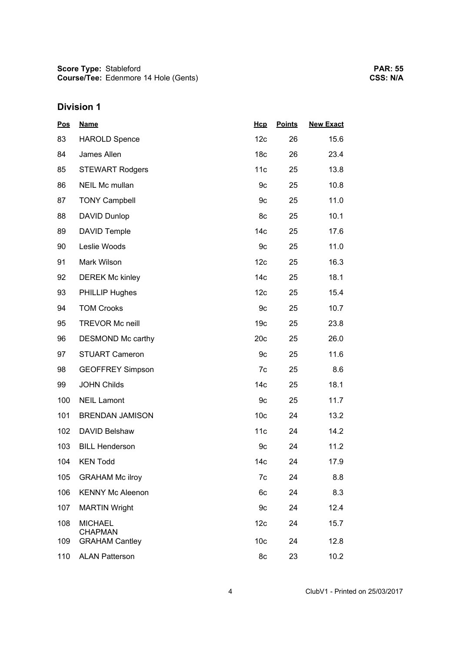| <b>Pos</b> | <b>Name</b>                      | Hcp             | <b>Points</b> | <b>New Exact</b> |
|------------|----------------------------------|-----------------|---------------|------------------|
| 83         | <b>HAROLD Spence</b>             | 12 <sub>c</sub> | 26            | 15.6             |
| 84         | James Allen                      | 18 <sub>c</sub> | 26            | 23.4             |
| 85         | <b>STEWART Rodgers</b>           | 11c             | 25            | 13.8             |
| 86         | NEIL Mc mullan                   | 9c              | 25            | 10.8             |
| 87         | <b>TONY Campbell</b>             | 9c              | 25            | 11.0             |
| 88         | DAVID Dunlop                     | 8c              | 25            | 10.1             |
| 89         | DAVID Temple                     | 14 <sub>c</sub> | 25            | 17.6             |
| 90         | Leslie Woods                     | 9c              | 25            | 11.0             |
| 91         | Mark Wilson                      | 12c             | 25            | 16.3             |
| 92         | <b>DEREK Mc kinley</b>           | 14 <sub>c</sub> | 25            | 18.1             |
| 93         | <b>PHILLIP Hughes</b>            | 12c             | 25            | 15.4             |
| 94         | <b>TOM Crooks</b>                | 9c              | 25            | 10.7             |
| 95         | <b>TREVOR Mc neill</b>           | 19 <sub>c</sub> | 25            | 23.8             |
| 96         | DESMOND Mc carthy                | 20c             | 25            | 26.0             |
| 97         | <b>STUART Cameron</b>            | 9c              | 25            | 11.6             |
| 98         | <b>GEOFFREY Simpson</b>          | 7c              | 25            | 8.6              |
| 99         | <b>JOHN Childs</b>               | 14 <sub>c</sub> | 25            | 18.1             |
| 100        | <b>NEIL Lamont</b>               | 9c              | 25            | 11.7             |
| 101        | <b>BRENDAN JAMISON</b>           | 10 <sub>c</sub> | 24            | 13.2             |
| 102        | DAVID Belshaw                    | 11c             | 24            | 14.2             |
| 103        | <b>BILL Henderson</b>            | 9c              | 24            | 11.2             |
| 104        | <b>KEN Todd</b>                  | 14 <sub>c</sub> | 24            | 17.9             |
| 105        | <b>GRAHAM Mc ilroy</b>           | 7c              | 24            | 8.8              |
| 106        | <b>KENNY Mc Aleenon</b>          | 6c              | 24            | 8.3              |
| 107        | <b>MARTIN Wright</b>             | 9c              | 24            | 12.4             |
| 108        | <b>MICHAEL</b><br><b>CHAPMAN</b> | 12 <sub>c</sub> | 24            | 15.7             |
| 109        | <b>GRAHAM Cantley</b>            | 10 <sub>c</sub> | 24            | 12.8             |
| 110        | <b>ALAN Patterson</b>            | 8c              | 23            | 10.2             |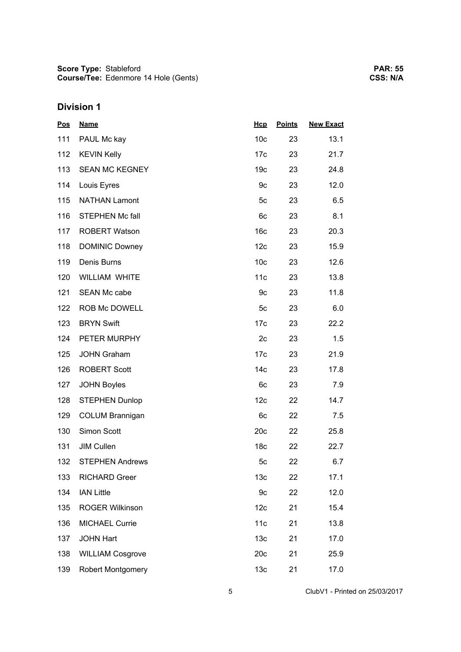| <b>Pos</b> | <b>Name</b>              | Hcp             | <b>Points</b> | <b>New Exact</b> |
|------------|--------------------------|-----------------|---------------|------------------|
| 111        | PAUL Mc kay              | 10 <sub>c</sub> | 23            | 13.1             |
| 112        | <b>KEVIN Kelly</b>       | 17 <sub>c</sub> | 23            | 21.7             |
| 113        | <b>SEAN MC KEGNEY</b>    | 19 <sub>c</sub> | 23            | 24.8             |
| 114        | Louis Eyres              | 9c              | 23            | 12.0             |
| 115        | <b>NATHAN Lamont</b>     | 5 <sub>c</sub>  | 23            | 6.5              |
| 116        | <b>STEPHEN Mc fall</b>   | 6c              | 23            | 8.1              |
| 117        | <b>ROBERT Watson</b>     | 16 <sub>c</sub> | 23            | 20.3             |
| 118        | <b>DOMINIC Downey</b>    | 12 <sub>c</sub> | 23            | 15.9             |
| 119        | Denis Burns              | 10 <sub>c</sub> | 23            | 12.6             |
| 120        | WILLIAM WHITE            | 11c             | 23            | 13.8             |
| 121        | <b>SEAN Mc cabe</b>      | 9c              | 23            | 11.8             |
| 122        | ROB Mc DOWELL            | 5c              | 23            | 6.0              |
| 123        | <b>BRYN Swift</b>        | 17 <sub>c</sub> | 23            | 22.2             |
| 124        | PETER MURPHY             | 2c              | 23            | 1.5              |
| 125        | <b>JOHN Graham</b>       | 17 <sub>c</sub> | 23            | 21.9             |
| 126        | <b>ROBERT Scott</b>      | 14 <sub>c</sub> | 23            | 17.8             |
| 127        | <b>JOHN Boyles</b>       | 6c              | 23            | 7.9              |
| 128        | <b>STEPHEN Dunlop</b>    | 12c             | 22            | 14.7             |
| 129        | <b>COLUM Brannigan</b>   | 6c              | 22            | 7.5              |
| 130        | Simon Scott              | 20c             | 22            | 25.8             |
| 131        | <b>JIM Cullen</b>        | 18 <sub>c</sub> | 22            | 22.7             |
| 132        | <b>STEPHEN Andrews</b>   | 5c              | 22            | 6.7              |
| 133        | <b>RICHARD Greer</b>     | 13 <sub>c</sub> | 22            | 17.1             |
| 134        | <b>IAN Little</b>        | 9c              | 22            | 12.0             |
| 135        | <b>ROGER Wilkinson</b>   | 12c             | 21            | 15.4             |
| 136        | <b>MICHAEL Currie</b>    | 11c             | 21            | 13.8             |
| 137        | <b>JOHN Hart</b>         | 13 <sub>c</sub> | 21            | 17.0             |
| 138        | <b>WILLIAM Cosgrove</b>  | 20c             | 21            | 25.9             |
| 139        | <b>Robert Montgomery</b> | 13 <sub>c</sub> | 21            | 17.0             |